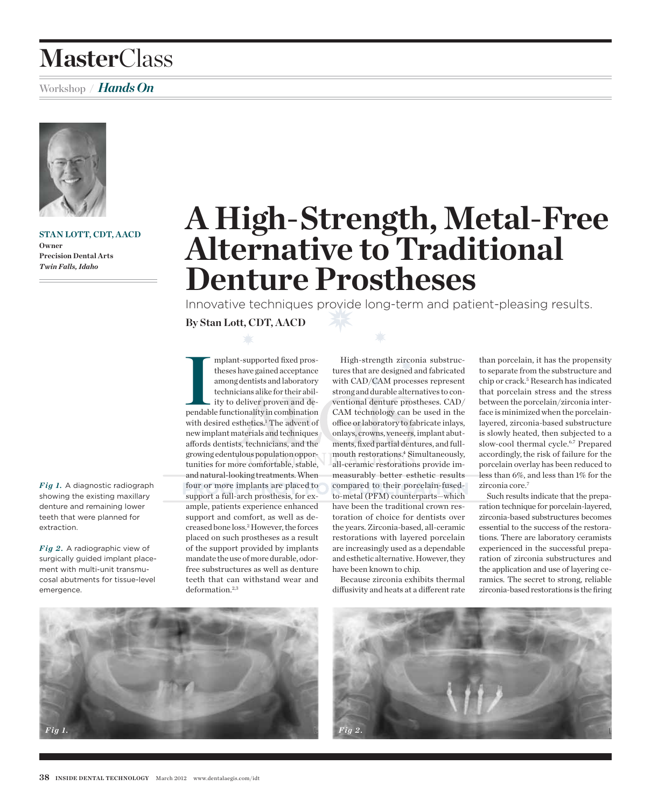## **Master**Class

## Workshop **/** *Hands On*



**Stan Lott, CDT , AACD Owner Precision Dental Arts**  *Twin Falls, Idaho* 

Fig 1. A diagnostic radiograph showing the existing maxillary denture and remaining lower teeth that were planned for

Fig 2. A radiographic view of surgically guided implant placement with multi-unit transmucosal abutments for tissue-level

extraction.

emergence.

# **A High-Strength, Metal-Free Alternative to Traditional Denture Prostheses**

Innovative techniques provide long-term and patient-pleasing results.

**By Stan Lott, CDT, AACD**

III mplant-supported fixed prostheses have gained acceptance among dentists and laboratory technicians alike for their ability to deliver proven and dependable functionality in combination mplant-supported fixed prostheses have gained acceptance among dentists and laboratory technicians alike for their ability to deliver proven and dewith desired esthetics.<sup>1</sup> The advent of new implant materials and techniques affords dentists, technicians, and the growing edentulous population opportunities for more comfortable, stable, and natural-looking treatments. When four or more implants are placed to support a full-arch prosthesis, for example, patients experience enhanced support and comfort, as well as decreased bone loss.2 However, the forces placed on such prostheses as a result of the support provided by implants mandate the use of more durable, odorfree substructures as well as denture teeth that can withstand wear and deformation.<sup>2,3</sup>

High-strength zirconia substructures that are designed and fabricated with CAD/CAM processes represent strong and durable alternatives to conventional denture prostheses. CAD/ CAM technology can be used in the office or laboratory to fabricate inlays, onlays, crowns, veneers, implant abutments, fixed partial dentures, and fullmouth restorations.4 Simultaneously, all-ceramic restorations provide immeasurably better esthetic results compared to their porcelain-fusedto-metal (PFM) counterparts—which have been the traditional crown restoration of choice for dentists over the years. Zirconia-based, all-ceramic restorations with layered porcelain are increasingly used as a dependable and esthetic alternative. However, they have been known to chip.

Because zirconia exhibits thermal diffusivity and heats at a different rate

than porcelain, it has the propensity to separate from the substructure and chip or crack.<sup>5</sup> Research has indicated that porcelain stress and the stress between the porcelain/zirconia interface is minimized when the porcelainlayered, zirconia-based substructure is slowly heated, then subjected to a slow-cool thermal cycle.6,7 Prepared accordingly,the risk of failure for the porcelain overlay has been reduced to less than 6%, and less than 1% for the zirconia core.7

Such results indicate that the preparation technique for porcelain-layered. zirconia-based substructures becomes essential to the success of the restorations. There are laboratory ceramists experienced in the successful preparation of zirconia substructures and the application and use of layering ceramics. The secret to strong, reliable zirconia-based restorations is the firing



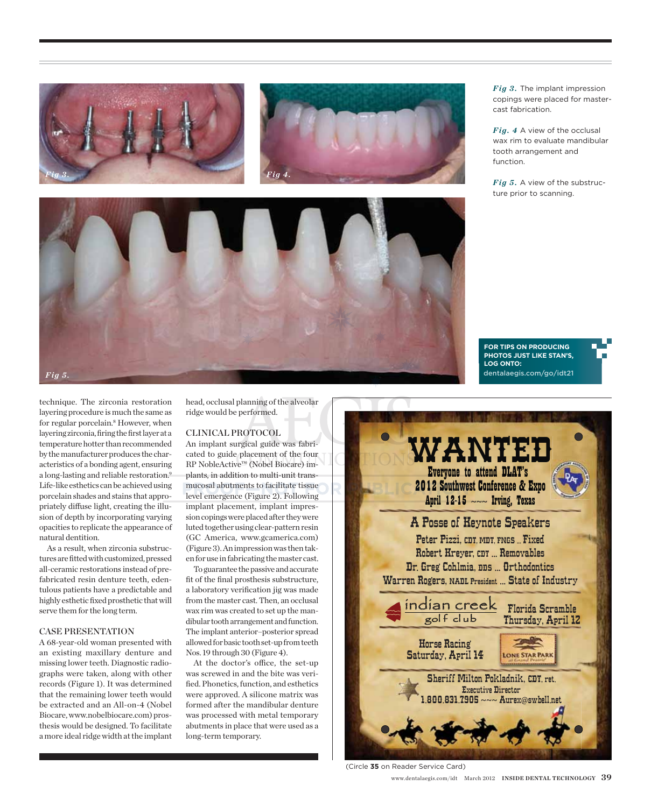





*Fig 3.* The implant impression copings were placed for mastercast fabrication.

Fig. 4 A view of the occlusal wax rim to evaluate mandibular tooth arrangement and function.

Fig 5. A view of the substructure prior to scanning.

**For tips on producing photos just like Stan's, log onto:** dentalaegis.com/go/idt21

technique. The zirconia restoration layering procedure is much the same as for regular porcelain.<sup>8</sup> However, when layering zirconia, firing the first layer at a temperature hotter than recommended by the manufacturer produces the characteristics of a bonding agent, ensuring a long-lasting and reliable restoration.9 Life-like esthetics can be achieved using porcelain shades and stains that appropriately diffuse light, creating the illusion of depth by incorporating varying opacities to replicate the appearance of natural dentition.

As a result, when zirconia substructures are fitted with customized, pressed all-ceramic restorations instead of prefabricated resin denture teeth, edentulous patients have a predictable and highly esthetic fixed prosthetic that will serve them for the long term.

#### Case Presentation

A 68-year-old woman presented with an existing maxillary denture and missing lower teeth. Diagnostic radiographs were taken, along with other records (Figure 1). It was determined that the remaining lower teeth would be extracted and an All-on-4 (Nobel Biocare, www.nobelbiocare.com) prosthesis would be designed. To facilitate a more ideal ridge width at the implant

head, occlusal planning of the alveolar ridge would be performed.

#### Clinical Protocol

An implant surgical guide was fabricated to guide placement of the four RP NobleActive™ (Nobel Biocare) implants, in addition to multi-unit transmucosal abutments to facilitate tissue level emergence (Figure 2). Following implant placement, implant impression copings were placed after they were luted together using clear-pattern resin (GC America, www.gcamerica.com) (Figure 3). An impression was then taken for use in fabricating the master cast.

To guarantee the passive and accurate fit of the final prosthesis substructure, a laboratory verification jig was made from the master cast. Then, an occlusal wax rim was created to set up the mandibular tooth arrangement and function. The implant anterior–posterior spread allowed for basic tooth set-up from teeth Nos. 19 through 30 (Figure 4).

At the doctor's office, the set-up was screwed in and the bite was verified. Phonetics, function, and esthetics were approved. A silicone matrix was formed after the mandibular denture was processed with metal temporary abutments in place that were used as a long-term temporary.



(Circle **35** on Reader Service Card)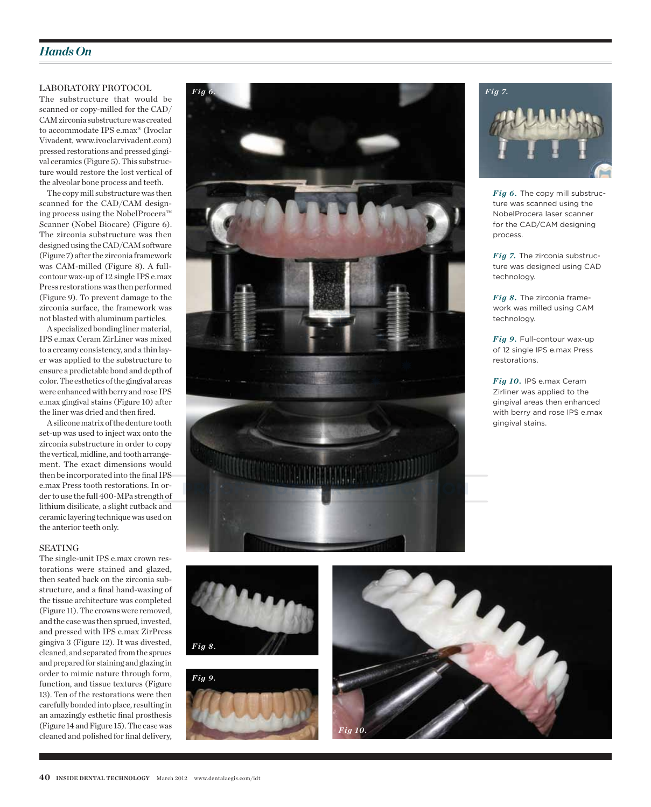## *Hands On*

#### Laboratory Protocol

The substructure that would be scanned or copy-milled for the CAD/ CAM zirconia substructure was created to accommodate IPS e.max® (Ivoclar Vivadent, www.ivoclarvivadent.com) pressed restorations and pressed gingival ceramics (Figure 5). This substructure would restore the lost vertical of the alveolar bone process and teeth.

The copy mill substructure was then scanned for the CAD/CAM designing process using the NobelProcera™ Scanner (Nobel Biocare) (Figure 6). The zirconia substructure was then designed using the CAD/CAM software (Figure 7) after the zirconia framework was CAM-milled (Figure 8). A fullcontour wax-up of 12 single IPS e.max Press restorations was then performed (Figure 9). To prevent damage to the zirconia surface, the framework was not blasted with aluminum particles.

A specialized bonding liner material, IPS e.max Ceram ZirLiner was mixed to a creamy consistency, and a thin layer was applied to the substructure to ensure a predictable bond and depth of color. The esthetics of the gingival areas were enhanced with berry and rose IPS e.max gingival stains (Figure 10) after the liner was dried and then fired.

A silicone matrix of the denture tooth set-up was used to inject wax onto the zirconia substructure in order to copy the vertical, midline, and tooth arrangement. The exact dimensions would then be incorporated into the final IPS e.max Press tooth restorations. In order to use the full 400-MPa strength of lithium disilicate, a slight cutback and ceramic layering technique was used on the anterior teeth only.

#### **SEATING**

The single-unit IPS e.max crown restorations were stained and glazed, then seated back on the zirconia substructure, and a final hand-waxing of the tissue architecture was completed (Figure 11). The crowns were removed, and the case was then sprued, invested, and pressed with IPS e.max ZirPress gingiva 3 (Figure 12). It was divested, cleaned, and separated from the sprues and prepared for staining and glazing in order to mimic nature through form, function, and tissue textures (Figure 13). Ten of the restorations were then carefully bonded into place, resulting in an amazingly esthetic final prosthesis (Figure 14 and Figure 15). The case was cleaned and polished for final delivery,





Fig 6. The copy mill substructure was scanned using the NobelProcera laser scanner for the CAD/CAM designing process.

*Fig 7.* The zirconia substructure was designed using CAD technology.

Fig 8. The zirconia framework was milled using CAM technology.

Fig 9. Full-contour wax-up of 12 single IPS e.max Press restorations.

Fig 10. IPS e.max Ceram Zirliner was applied to the gingival areas then enhanced with berry and rose IPS e.max gingival stains.



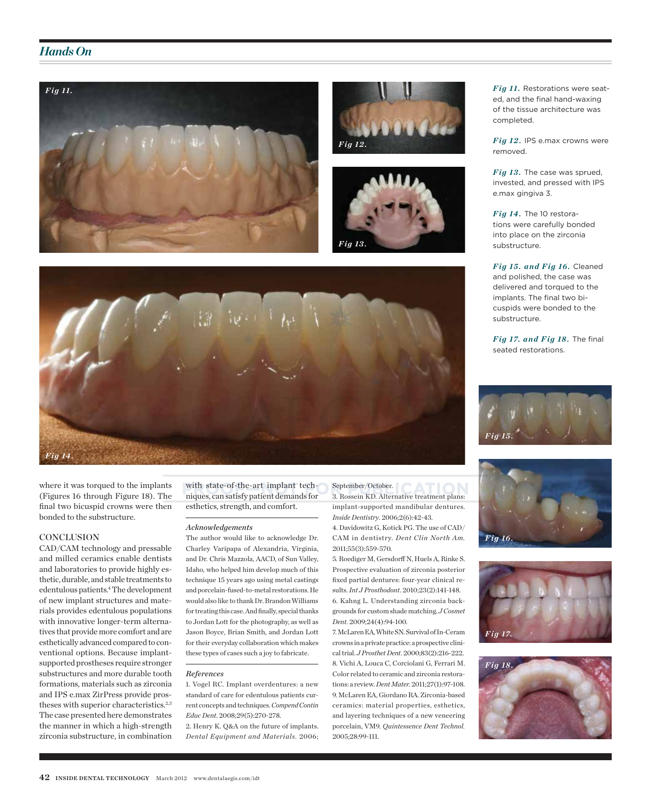### *Hands On*









where it was torqued to the implants (Figures 16 through Figure 18). The final two bicuspid crowns were then bonded to the substructure.

#### **CONCLUSION**

CAD/CAM technology and pressable and milled ceramics enable dentists and laboratories to provide highly esthetic, durable, and stable treatments to edentulous patients.4 The development of new implant structures and materials provides edentulous populations with innovative longer-term alternatives that provide more comfort and are esthetically advanced compared to conventional options. Because implantsupported prostheses require stronger substructures and more durable tooth formations, materials such as zirconia and IPS e.max ZirPress provide prostheses with superior characteristics.<sup>2,3</sup> The case presented here demonstrates the manner in which a high-strength zirconia substructure, in combination with state-of-the-art implant techniques, can satisfy patient demands for esthetics, strength, and comfort.

#### *Acknowledgements*

The author would like to acknowledge Dr. Charley Varipapa of Alexandria, Virginia, and Dr. Chris Mazzola, AACD, of Sun Valley, Idaho, who helped him develop much of this technique 15 years ago using metal castings and porcelain-fused-to-metal restorations. He would also like to thank Dr. Brandon Williams for treating this case. And finally, special thanks to Jordan Lott for the photography, as well as Jason Boyce, Brian Smith, and Jordan Lott for their everyday collaboration which makes these types of cases such a joy to fabricate.

#### *References*

1. Vogel RC. Implant overdentures: a new standard of care for edentulous patients current concepts and techniques. *Compend Contin Educ Dent*. 2008;29(5):270-278.

2. Henry K. Q&A on the future of implants. *Dental Equipment and Materials*. 2006;

#### September/October. 3. Rossein KD. Alternative treatment plans:

implant-supported mandibular dentures. *Inside Dentistry*. 2006;2(6):42-43.

4. Davidowitz G, Kotick PG. The use of CAD/ CAM in dentistry. *Dent Clin North Am.* 2011;55(3):559-570.

5. Roediger M, Gersdorff N, Huels A, Rinke S. Prospective evaluation of zirconia posterior fixed partial dentures: four-year clinical results. *Int J Prosthodont*. 2010;23(2):141-148. 6. Kahng L. Understanding zirconia backgrounds for custom shade matching. *J Cosmet Dent*. 2009;24(4):94-100.

7. McLaren EA, White SN. Survival of In-Ceram crowns in a private practice: a prospective clinical trial. *J Prosthet Dent*. 2000;83(2):216-222. 8. Vichi A, Louca C, Corciolani G, Ferrari M. Color related to ceramic and zirconia restorations: a review. *Dent Mater.* 2011;27(1):97-108. 9. McLaren EA, Giordano RA. Zirconia-based ceramics: material properties, esthetics, and layering techniques of a new veneering porcelain, VM9. *Quintessence Dent Technol.*  2005;28:99-111.

Fig 11. Restorations were seated, and the final hand-waxing of the tissue architecture was completed.

Fig 12. IPS e.max crowns were removed.

Fig 13. The case was sprued, invested, and pressed with IPS e.max gingiva 3.

Fig 14. The 10 restorations were carefully bonded into place on the zirconia substructure.

Fig 15. and Fig 16. Cleaned and polished, the case was delivered and torqued to the implants. The final two bicuspids were bonded to the substructure.

*Fig 17. and Fig 18. The final* seated restorations.